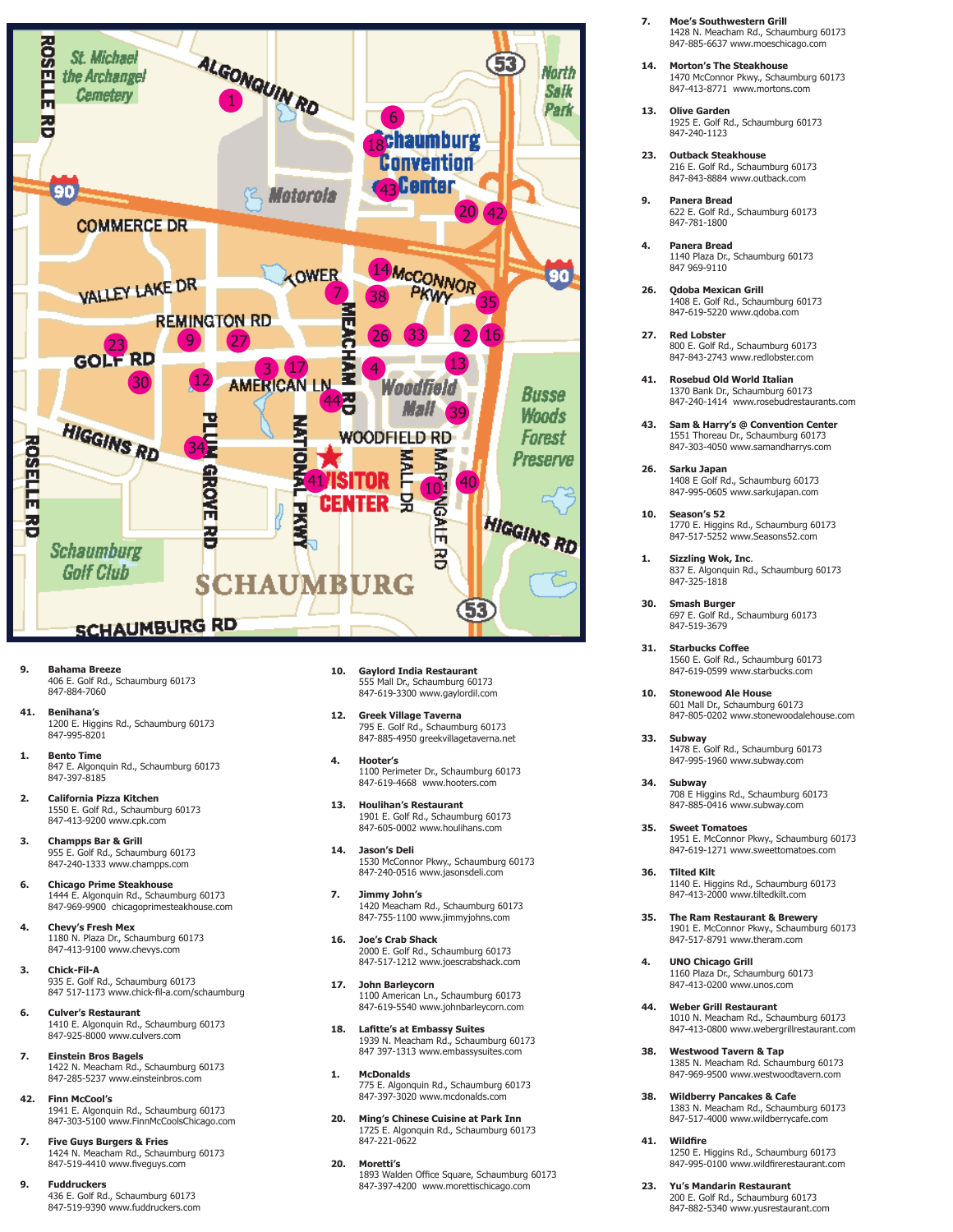

- **9. Bahama Breeze**  406 E. Golf Rd., Schaumburg 60173 847-884-7060
- **41. Benihana's** 1200 E. Higgins Rd., Schaumburg 60173 847-995-8201
- **1. Bento Time**  847 E. Algonquin Rd., Schaumburg 60173 847-397-8185
- **2. California Pizza Kitchen**  1550 E. Golf Rd., Schaumburg 60173 847-413-9200 www.cpk.com
- **3. Champps Bar & Grill** 955 E. Golf Rd., Schaumburg 60173 847-240-1333 www.champps.com
- **6. Chicago Prime Steakhouse** 1444 E. Algonquin Rd., Schaumburg 60173 847-969-9900 chicagoprimesteakhouse.com
- **4. Chevy's Fresh Mex**  1180 N. Plaza Dr., Schaumburg 60173 847-413-9100 www.chevys.com
- **3. Chick-Fil-A**  935 E. Golf Rd., Schaumburg 60173 847 517-1173 www.chick-fil-a.com/schaumburg
- **6. Culver's Restaurant**  1410 E. Algonquin Rd., Schaumburg 60173 847-925-8000 www.culvers.com
- **7. Einstein Bros Bagels** 1422 N. Meacham Rd., Schaumburg 60173 847-285-5237 www.einsteinbros.com
- **42. Finn McCool's** 1941 E. Algonquin Rd., Schaumburg 60173 847-303-5100 www.FinnMcCoolsChicago.com
- **7. Five Guys Burgers & Fries** 1424 N. Meacham Rd., Schaumburg 60173 847-519-4410 www.fiveguys.com
- **9. Fuddruckers** 436 E. Golf Rd., Schaumburg 60173 847-519-9390 www.fuddruckers.com
- **10. Gaylord India Restaurant**  555 Mall Dr., Schaumburg 60173 847-619-3300 www.gaylordil.com
- **12. Greek Village Taverna**  795 E. Golf Rd., Schaumburg 60173 847-885-4950 greekvillagetaverna.net
- **4. Hooter's** 1100 Perimeter Dr., Schaumburg 60173 847-619-4668 www.hooters.com
- **13. Houlihan's Restaurant**  1901 E. Golf Rd., Schaumburg 60173 847-605-0002 www.houlihans.com
- **14. Jason's Deli**  1530 McConnor Pkwy., Schaumburg 60173 847-240-0516 www.jasonsdeli.com
- **7. Jimmy John's** 1420 Meacham Rd., Schaumburg 60173 847-755-1100 www.jimmyjohns.com
- **16. Joe's Crab Shack**  2000 E. Golf Rd., Schaumburg 60173 847-517-1212 www.joescrabshack.com
- **17. John Barleycorn** 1100 American Ln., Schaumburg 60173 847-619-5540 www.johnbarleycorn.com
- **18. Lafitte's at Embassy Suites** 1939 N. Meacham Rd., Schaumburg 60173 847 397-1313 www.embassysuites.com
- **1. McDonalds**  775 E. Algonquin Rd., Schaumburg 60173 847-397-3020 www.mcdonalds.com
- **20. Ming's Chinese Cuisine at Park Inn** 1725 E. Algonquin Rd., Schaumburg 60173 847-221-0622
- **20. Moretti's** 1893 Walden Office Square, Schaumburg 60173 847-397-4200 www.morettischicago.com
- **7. Moe's Southwestern Grill**  1428 N. Meacham Rd., Schaumburg 60173 847-885-6637 www.moeschicago.com
- **14. Morton's The Steakhouse** 1470 McConnor Pkwy., Schaumburg 60173 847-413-8771 www.mortons.com
- **13. Olive Garden** 1925 E. Golf Rd., Schaumburg 60173 847-240-1123
- **23. Outback Steakhouse** 216 E. Golf Rd., Schaumburg 60173 847-843-8884 www.outback.com
- **9. Panera Bread**  622 E. Golf Rd., Schaumburg 60173 847-781-1800
- **4. Panera Bread** 1140 Plaza Dr., Schaumburg 60173 847 969-9110
- **26. Qdoba Mexican Grill**  1408 E. Golf Rd., Schaumburg 60173 847-619-5220 www.qdoba.com
- **27. Red Lobster**  800 E. Golf Rd., Schaumburg 60173 847-843-2743 www.redlobster.com
- **41. Rosebud Old World Italian** 1370 Bank Dr., Schaumburg 60173 847-240-1414 www.rosebudrestaurants.com
- **43. Sam & Harry's @ Convention Center** 1551 Thoreau Dr., Schaumburg 60173 847-303-4050 www.samandharrys.com
- **26. Sarku Japan**  1408 E Golf Rd., Schaumburg 60173 847-995-0605 www.sarkujapan.com
- **10. Season's 52** 1770 E. Higgins Rd., Schaumburg 60173 847-517-5252 www.Seasons52.com
- **1. Sizzling Wok, Inc**. 837 E. Algonquin Rd., Schaumburg 60173 847-325-1818
- **30. Smash Burger**  697 E. Golf Rd., Schaumburg 60173 847-519-3679
- **31. Starbucks Coffee** 1560 E. Golf Rd., Schaumburg 60173 847-619-0599 www.starbucks.com
- **10. Stonewood Ale House**  601 Mall Dr., Schaumburg 60173 847-805-0202 www.stonewoodalehouse.com
- **33. Subway**  1478 E. Golf Rd., Schaumburg 60173 847-995-1960 www.subway.com
- **34. Subway** 708 E Higgins Rd., Schaumburg 60173 847-885-0416 www.subway.com
- **35. Sweet Tomatoes**  1951 E. McConnor Pkwy., Schaumburg 60173 847-619-1271 www.sweettomatoes.com
- **36. Tilted Kilt** 1140 E. Higgins Rd., Schaumburg 60173 847-413-2000 www.tiltedkilt.com
- **35. The Ram Restaurant & Brewery** 1901 E. McConnor Pkwy., Schaumburg 60173 847-517-8791 www.theram.com
- **4. UNO Chicago Grill**  1160 Plaza Dr., Schaumburg 60173 847-413-0200 www.unos.com
- **44. Weber Grill Restaurant** 1010 N. Meacham Rd., Schaumburg 60173 847-413-0800 www.webergrillrestaurant.com
- **38. Westwood Tavern & Tap**  1385 N. Meacham Rd. Schaumburg 60173 847-969-9500 www.westwoodtavern.com
- **38. Wildberry Pancakes & Cafe**  1383 N. Meacham Rd., Schaumburg 60173 847-517-4000 www.wildberrycafe.com
- **41. Wildfire** 1250 E. Higgins Rd., Schaumburg 60173 847-995-0100 www.wildfirerestaurant.com
- **23. Yu's Mandarin Restaurant**  200 E. Golf Rd., Schaumburg 60173 847-882-5340 www.yusrestaurant.com